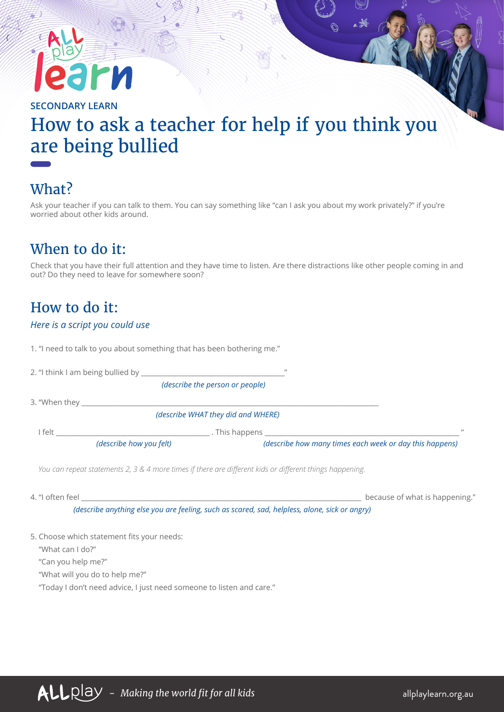# Irn

**SECONDARY LEARN**

## How to ask a teacher for help if you think you are being bullied

## What?

Ask your teacher if you can talk to them. You can say something like "can I ask you about my work privately?" if you're worried about other kids around.

## When to do it:

Check that you have their full attention and they have time to listen. Are there distractions like other people coming in and out? Do they need to leave for somewhere soon?

#### How to do it:

#### *Here is a script you could use*

1. "I need to talk to you about something that has been bothering me."

| 2. "I think I am being bullied by <b>contained</b> and the contract of the contract of the contract of the contract of the contract of the contract of the contract of the contract of the contract of the contract of the contract |                                 | $^{\prime\prime}$                                       |          |
|-------------------------------------------------------------------------------------------------------------------------------------------------------------------------------------------------------------------------------------|---------------------------------|---------------------------------------------------------|----------|
|                                                                                                                                                                                                                                     | (describe the person or people) |                                                         |          |
|                                                                                                                                                                                                                                     |                                 |                                                         |          |
|                                                                                                                                                                                                                                     |                                 | (describe WHAT they did and WHERE)                      |          |
| felt                                                                                                                                                                                                                                |                                 | . This happens                                          | $\prime$ |
|                                                                                                                                                                                                                                     | (describe how you felt)         | (describe how many times each week or day this happens) |          |
|                                                                                                                                                                                                                                     |                                 |                                                         |          |

*You can repeat statements 2, 3 & 4 more times if there are different kids or different things happening.*

4. "I often feel \_\_\_\_\_\_\_\_\_\_\_\_\_\_\_\_\_\_\_\_\_\_\_\_\_\_\_\_\_\_\_\_\_\_\_\_\_\_\_\_\_\_\_\_\_\_\_\_\_\_\_\_\_\_\_\_\_\_\_\_\_\_\_\_\_\_\_\_\_\_\_\_\_\_\_\_\_\_\_\_\_\_ because of what is happening." *(describe anything else you are feeling, such as scared, sad, helpless, alone, sick or angry)*

#### 5. Choose which statement fits your needs:

"What can I do?"

"Can you help me?"

"What will you do to help me?"

"Today I don't need advice, I just need someone to listen and care."